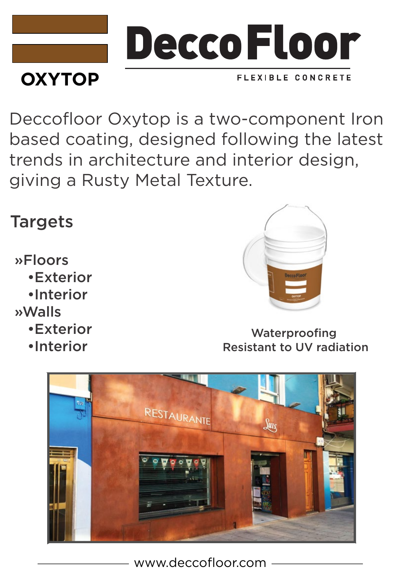

Deccofloor Oxytop is a two-component Iron based coating, designed following the latest trends in architecture and interior design, giving a Rusty Metal Texture.

## Targets

»Floors

- •Exterior
- •Interior
- »Walls
	- •Exterior
	- •Interior



Waterproofing Resistant to UV radiation



www.deccofloor.com